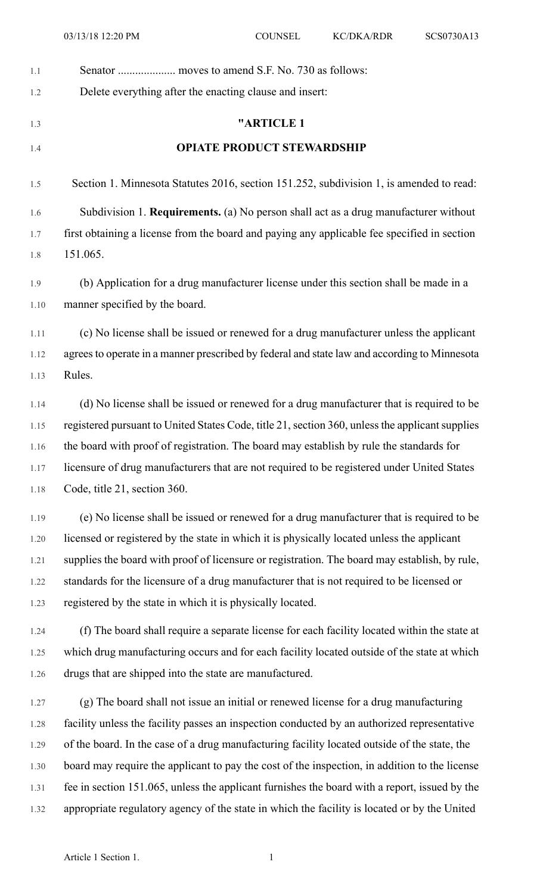| 1.1  |                                                                                                 |
|------|-------------------------------------------------------------------------------------------------|
| 1.2  | Delete everything after the enacting clause and insert:                                         |
|      | "ARTICLE 1                                                                                      |
| 1.3  |                                                                                                 |
| 1.4  | <b>OPIATE PRODUCT STEWARDSHIP</b>                                                               |
| 1.5  | Section 1. Minnesota Statutes 2016, section 151.252, subdivision 1, is amended to read:         |
| 1.6  | Subdivision 1. <b>Requirements.</b> (a) No person shall act as a drug manufacturer without      |
| 1.7  | first obtaining a license from the board and paying any applicable fee specified in section     |
| 1.8  | 151.065.                                                                                        |
| 1.9  | (b) Application for a drug manufacturer license under this section shall be made in a           |
| 1.10 | manner specified by the board.                                                                  |
| 1.11 | (c) No license shall be issued or renewed for a drug manufacturer unless the applicant          |
| 1.12 | agrees to operate in a manner prescribed by federal and state law and according to Minnesota    |
| 1.13 | Rules.                                                                                          |
|      |                                                                                                 |
| 1.14 | (d) No license shall be issued or renewed for a drug manufacturer that is required to be        |
| 1.15 | registered pursuant to United States Code, title 21, section 360, unless the applicant supplies |
| 1.16 | the board with proof of registration. The board may establish by rule the standards for         |
| 1.17 | licensure of drug manufacturers that are not required to be registered under United States      |
| 1.18 | Code, title 21, section 360.                                                                    |
| 1.19 | (e) No license shall be issued or renewed for a drug manufacturer that is required to be        |
| 1.20 | licensed or registered by the state in which it is physically located unless the applicant      |
| 1.21 | supplies the board with proof of licensure or registration. The board may establish, by rule,   |
| 1.22 | standards for the licensure of a drug manufacturer that is not required to be licensed or       |
| 1.23 | registered by the state in which it is physically located.                                      |
| 1.24 | (f) The board shall require a separate license for each facility located within the state at    |
| 1.25 | which drug manufacturing occurs and for each facility located outside of the state at which     |
| 1.26 | drugs that are shipped into the state are manufactured.                                         |
| 1.27 | (g) The board shall not issue an initial or renewed license for a drug manufacturing            |
| 1.28 | facility unless the facility passes an inspection conducted by an authorized representative     |
| 1.29 | of the board. In the case of a drug manufacturing facility located outside of the state, the    |
| 1.30 | board may require the applicant to pay the cost of the inspection, in addition to the license   |
| 1.31 | fee in section 151.065, unless the applicant furnishes the board with a report, issued by the   |
| 1.32 | appropriate regulatory agency of the state in which the facility is located or by the United    |
|      |                                                                                                 |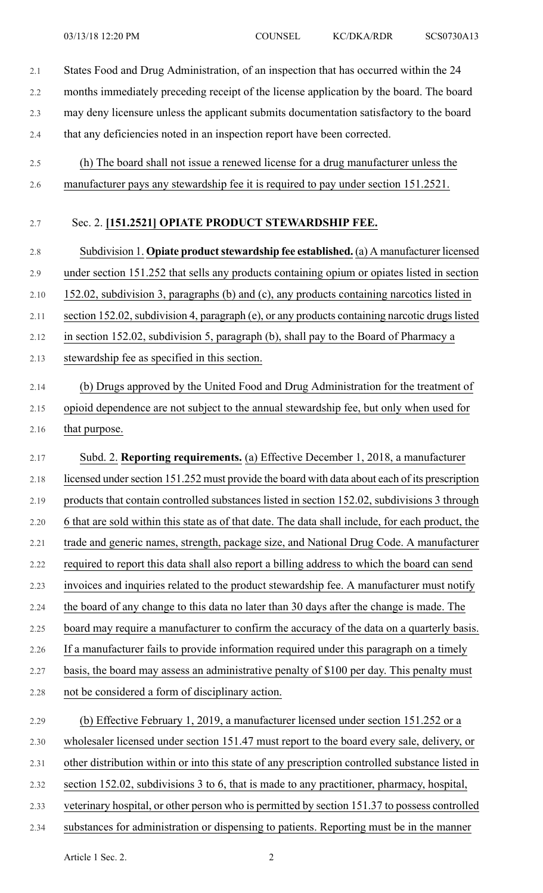2.1 States Food and Drug Administration, of an inspection that has occurred within the 24 2.2 months immediately preceding receipt of the license application by the board. The board 2.3 may deny licensure unless the applicant submits documentation satisfactory to the board 2.4 that any deficiencies noted in an inspection report have been corrected. 2.5 (h) The board shall not issue a renewed license for a drug manufacturer unless the 2.6 manufacturer pays any stewardship fee it is required to pay under section 151.2521. 2.7 Sec. 2. **[151.2521] OPIATE PRODUCT STEWARDSHIP FEE.** 2.8 Subdivision 1. **Opiate product stewardship fee established.** (a) A manufacturer licensed 2.9 under section 151.252 that sells any products containing opium or opiates listed in section 2.10 152.02, subdivision 3, paragraphs (b) and (c), any products containing narcotics listed in 2.11 section 152.02, subdivision 4, paragraph (e), or any products containing narcotic drugs listed 2.12 in section 152.02, subdivision 5, paragraph (b), shall pay to the Board of Pharmacy a

2.13 stewardship fee as specified in this section.

## 2.14 (b) Drugs approved by the United Food and Drug Administration for the treatment of 2.15 opioid dependence are not subject to the annual stewardship fee, but only when used for 2.16 that purpose.

2.17 Subd. 2. **Reporting requirements.** (a) Effective December 1, 2018, a manufacturer 2.18 licensed under section 151.252 must provide the board with data about each of its prescription 2.19 products that contain controlled substances listed in section 152.02, subdivisions 3 through 2.20 6 that are sold within this state as of that date. The data shall include, for each product, the 2.21 trade and generic names, strength, package size, and National Drug Code. A manufacturer 2.22 required to report this data shall also report a billing address to which the board can send 2.23 invoices and inquiries related to the product stewardship fee. A manufacturer must notify 2.24 the board of any change to this data no later than 30 days after the change is made. The 2.25 board may require a manufacturer to confirm the accuracy of the data on a quarterly basis. 2.26 If a manufacturer fails to provide information required under this paragraph on a timely 2.27 basis, the board may assess an administrative penalty of \$100 per day. This penalty must 2.28 not be considered a form of disciplinary action. 2.29 (b) Effective February 1, 2019, a manufacturer licensed under section 151.252 or a 2.30 wholesaler licensed under section 151.47 must report to the board every sale, delivery, or 2.31 other distribution within or into this state of any prescription controlled substance listed in 2.32 section 152.02, subdivisions 3 to 6, that is made to any practitioner, pharmacy, hospital,

- 2.33 veterinary hospital, or other person who is permitted by section 151.37 to possess controlled
- 2.34 substances for administration or dispensing to patients. Reporting must be in the manner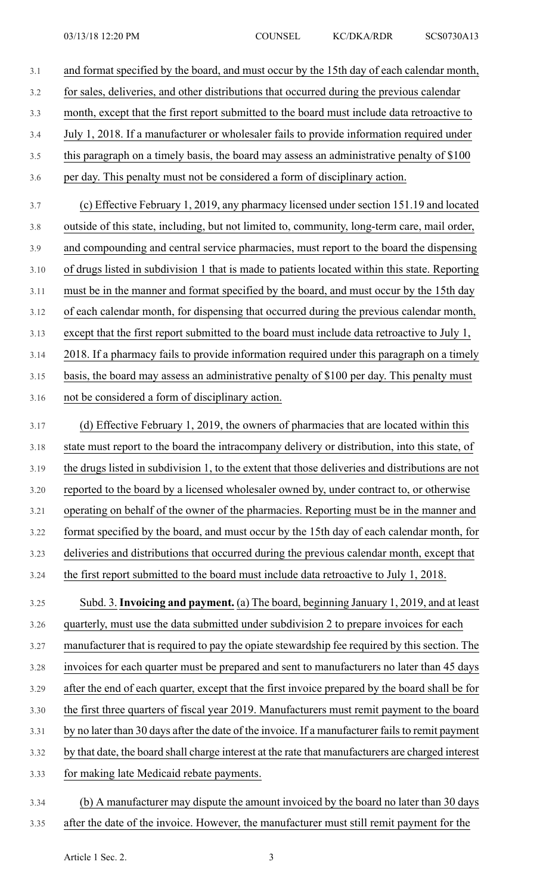| 3.1  | and format specified by the board, and must occur by the 15th day of each calendar month,         |
|------|---------------------------------------------------------------------------------------------------|
| 3.2  | for sales, deliveries, and other distributions that occurred during the previous calendar         |
| 3.3  | month, except that the first report submitted to the board must include data retroactive to       |
| 3.4  | July 1, 2018. If a manufacturer or wholesaler fails to provide information required under         |
| 3.5  | this paragraph on a timely basis, the board may assess an administrative penalty of \$100         |
| 3.6  | per day. This penalty must not be considered a form of disciplinary action.                       |
| 3.7  | (c) Effective February 1, 2019, any pharmacy licensed under section 151.19 and located            |
| 3.8  | outside of this state, including, but not limited to, community, long-term care, mail order,      |
| 3.9  | and compounding and central service pharmacies, must report to the board the dispensing           |
| 3.10 | of drugs listed in subdivision 1 that is made to patients located within this state. Reporting    |
| 3.11 | must be in the manner and format specified by the board, and must occur by the 15th day           |
| 3.12 | of each calendar month, for dispensing that occurred during the previous calendar month,          |
| 3.13 | except that the first report submitted to the board must include data retroactive to July 1,      |
| 3.14 | 2018. If a pharmacy fails to provide information required under this paragraph on a timely        |
| 3.15 | basis, the board may assess an administrative penalty of \$100 per day. This penalty must         |
| 3.16 | not be considered a form of disciplinary action.                                                  |
| 3.17 | (d) Effective February 1, 2019, the owners of pharmacies that are located within this             |
| 3.18 | state must report to the board the intracompany delivery or distribution, into this state, of     |
| 3.19 | the drugs listed in subdivision 1, to the extent that those deliveries and distributions are not  |
| 3.20 | reported to the board by a licensed wholesaler owned by, under contract to, or otherwise          |
| 3.21 | operating on behalf of the owner of the pharmacies. Reporting must be in the manner and           |
| 3.22 | format specified by the board, and must occur by the 15th day of each calendar month, for         |
| 3.23 | deliveries and distributions that occurred during the previous calendar month, except that        |
| 3.24 | the first report submitted to the board must include data retroactive to July 1, 2018.            |
| 3.25 | Subd. 3. Invoicing and payment. (a) The board, beginning January 1, 2019, and at least            |
| 3.26 | quarterly, must use the data submitted under subdivision 2 to prepare invoices for each           |
| 3.27 | manufacturer that is required to pay the opiate stewardship fee required by this section. The     |
| 3.28 | invoices for each quarter must be prepared and sent to manufacturers no later than 45 days        |
| 3.29 | after the end of each quarter, except that the first invoice prepared by the board shall be for   |
| 3.30 | the first three quarters of fiscal year 2019. Manufacturers must remit payment to the board       |
| 3.31 | by no later than 30 days after the date of the invoice. If a manufacturer fails to remit payment  |
| 3.32 | by that date, the board shall charge interest at the rate that manufacturers are charged interest |
| 3.33 | for making late Medicaid rebate payments.                                                         |
| 3.34 | (b) A manufacturer may dispute the amount invoiced by the board no later than 30 days             |

3.35 after the date of the invoice. However, the manufacturer must still remit payment for the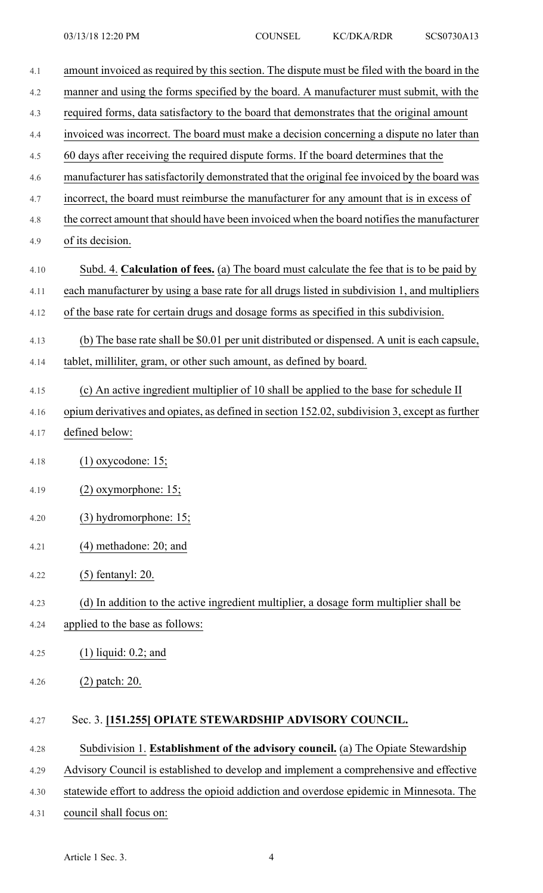| 4.1  | amount invoiced as required by this section. The dispute must be filed with the board in the  |
|------|-----------------------------------------------------------------------------------------------|
| 4.2  | manner and using the forms specified by the board. A manufacturer must submit, with the       |
| 4.3  | required forms, data satisfactory to the board that demonstrates that the original amount     |
| 4.4  | invoiced was incorrect. The board must make a decision concerning a dispute no later than     |
| 4.5  | 60 days after receiving the required dispute forms. If the board determines that the          |
| 4.6  | manufacturer has satisfactorily demonstrated that the original fee invoiced by the board was  |
| 4.7  | incorrect, the board must reimburse the manufacturer for any amount that is in excess of      |
| 4.8  | the correct amount that should have been invoiced when the board notifies the manufacturer    |
| 4.9  | of its decision.                                                                              |
| 4.10 | Subd. 4. Calculation of fees. (a) The board must calculate the fee that is to be paid by      |
| 4.11 | each manufacturer by using a base rate for all drugs listed in subdivision 1, and multipliers |
| 4.12 | of the base rate for certain drugs and dosage forms as specified in this subdivision.         |
| 4.13 | (b) The base rate shall be \$0.01 per unit distributed or dispensed. A unit is each capsule,  |
| 4.14 | tablet, milliliter, gram, or other such amount, as defined by board.                          |
| 4.15 | (c) An active ingredient multiplier of 10 shall be applied to the base for schedule II        |
| 4.16 | opium derivatives and opiates, as defined in section 152.02, subdivision 3, except as further |
| 4.17 | defined below:                                                                                |
|      |                                                                                               |
| 4.18 | $(1)$ oxycodone: 15;                                                                          |
| 4.19 | $(2)$ oxymorphone: 15;                                                                        |
| 4.20 | (3) hydromorphone: 15;                                                                        |
| 4.21 | $(4)$ methadone: 20; and                                                                      |
| 4.22 | $(5)$ fentanyl: 20.                                                                           |
| 4.23 | (d) In addition to the active ingredient multiplier, a dosage form multiplier shall be        |
| 4.24 | applied to the base as follows:                                                               |
| 4.25 | $(1)$ liquid: 0.2; and                                                                        |
| 4.26 | $(2)$ patch: 20.                                                                              |
| 4.27 | Sec. 3. [151.255] OPIATE STEWARDSHIP ADVISORY COUNCIL.                                        |
| 4.28 | Subdivision 1. Establishment of the advisory council. (a) The Opiate Stewardship              |
| 4.29 | Advisory Council is established to develop and implement a comprehensive and effective        |
| 4.30 | statewide effort to address the opioid addiction and overdose epidemic in Minnesota. The      |
| 4.31 | council shall focus on:                                                                       |
|      |                                                                                               |

Article 1 Sec. 3. 4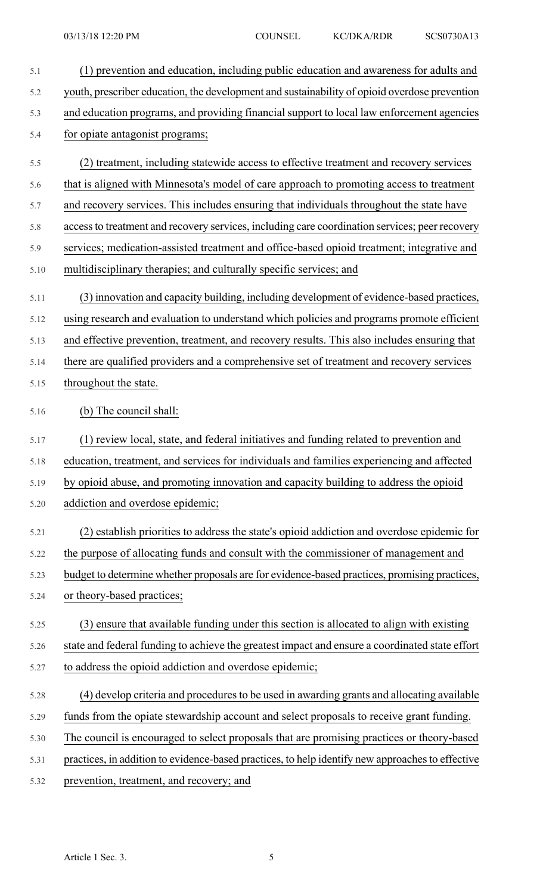| 5.1  | (1) prevention and education, including public education and awareness for adults and            |
|------|--------------------------------------------------------------------------------------------------|
| 5.2  | youth, prescriber education, the development and sustainability of opioid overdose prevention    |
| 5.3  | and education programs, and providing financial support to local law enforcement agencies        |
| 5.4  | for opiate antagonist programs;                                                                  |
| 5.5  | (2) treatment, including statewide access to effective treatment and recovery services           |
| 5.6  | that is aligned with Minnesota's model of care approach to promoting access to treatment         |
| 5.7  | and recovery services. This includes ensuring that individuals throughout the state have         |
| 5.8  | access to treatment and recovery services, including care coordination services; peer recovery   |
| 5.9  | services; medication-assisted treatment and office-based opioid treatment; integrative and       |
| 5.10 | multidisciplinary therapies; and culturally specific services; and                               |
| 5.11 | (3) innovation and capacity building, including development of evidence-based practices,         |
| 5.12 | using research and evaluation to understand which policies and programs promote efficient        |
| 5.13 | and effective prevention, treatment, and recovery results. This also includes ensuring that      |
| 5.14 | there are qualified providers and a comprehensive set of treatment and recovery services         |
| 5.15 | throughout the state.                                                                            |
| 5.16 | (b) The council shall:                                                                           |
| 5.17 | (1) review local, state, and federal initiatives and funding related to prevention and           |
| 5.18 | education, treatment, and services for individuals and families experiencing and affected        |
| 5.19 | by opioid abuse, and promoting innovation and capacity building to address the opioid            |
| 5.20 | addiction and overdose epidemic;                                                                 |
| 5.21 | (2) establish priorities to address the state's opioid addiction and overdose epidemic for       |
| 5.22 | the purpose of allocating funds and consult with the commissioner of management and              |
| 5.23 | budget to determine whether proposals are for evidence-based practices, promising practices,     |
| 5.24 | or theory-based practices;                                                                       |
| 5.25 | (3) ensure that available funding under this section is allocated to align with existing         |
| 5.26 | state and federal funding to achieve the greatest impact and ensure a coordinated state effort   |
| 5.27 | to address the opioid addiction and overdose epidemic;                                           |
| 5.28 | (4) develop criteria and procedures to be used in awarding grants and allocating available       |
| 5.29 | funds from the opiate stewardship account and select proposals to receive grant funding.         |
| 5.30 | The council is encouraged to select proposals that are promising practices or theory-based       |
| 5.31 | practices, in addition to evidence-based practices, to help identify new approaches to effective |
| 5.32 | prevention, treatment, and recovery; and                                                         |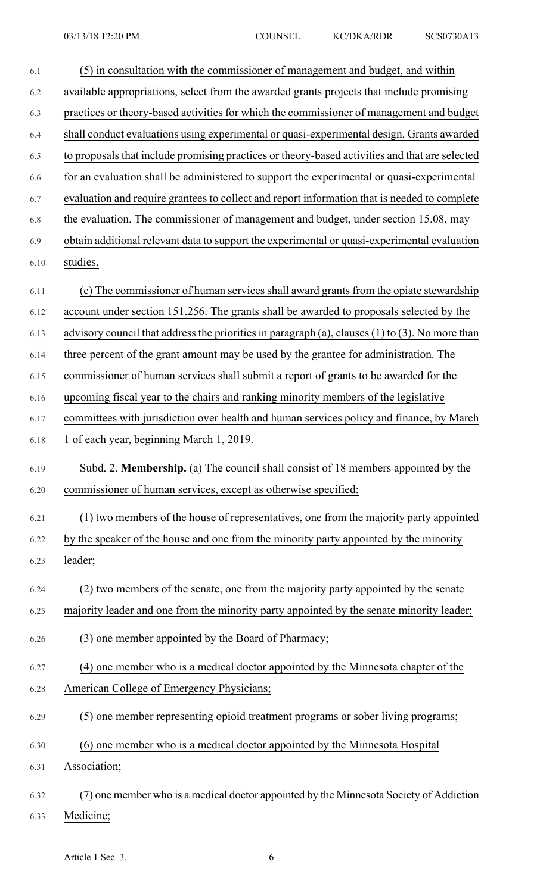| 6.1  | (5) in consultation with the commissioner of management and budget, and within                       |
|------|------------------------------------------------------------------------------------------------------|
| 6.2  | available appropriations, select from the awarded grants projects that include promising             |
| 6.3  | practices or theory-based activities for which the commissioner of management and budget             |
| 6.4  | shall conduct evaluations using experimental or quasi-experimental design. Grants awarded            |
| 6.5  | to proposals that include promising practices or theory-based activities and that are selected       |
| 6.6  | for an evaluation shall be administered to support the experimental or quasi-experimental            |
| 6.7  | evaluation and require grantees to collect and report information that is needed to complete         |
| 6.8  | the evaluation. The commissioner of management and budget, under section 15.08, may                  |
| 6.9  | obtain additional relevant data to support the experimental or quasi-experimental evaluation         |
| 6.10 | studies.                                                                                             |
| 6.11 | (c) The commissioner of human services shall award grants from the opiate stewardship                |
| 6.12 | account under section 151.256. The grants shall be awarded to proposals selected by the              |
| 6.13 | advisory council that address the priorities in paragraph (a), clauses $(1)$ to $(3)$ . No more than |
| 6.14 | three percent of the grant amount may be used by the grantee for administration. The                 |
| 6.15 | commissioner of human services shall submit a report of grants to be awarded for the                 |
| 6.16 | upcoming fiscal year to the chairs and ranking minority members of the legislative                   |
| 6.17 | committees with jurisdiction over health and human services policy and finance, by March             |
| 6.18 | 1 of each year, beginning March 1, 2019.                                                             |
| 6.19 | Subd. 2. Membership. (a) The council shall consist of 18 members appointed by the                    |
| 6.20 | commissioner of human services, except as otherwise specified:                                       |
| 6.21 | (1) two members of the house of representatives, one from the majority party appointed               |
| 6.22 | by the speaker of the house and one from the minority party appointed by the minority                |
| 6.23 | leader;                                                                                              |
| 6.24 | (2) two members of the senate, one from the majority party appointed by the senate                   |
| 6.25 | majority leader and one from the minority party appointed by the senate minority leader;             |
| 6.26 | (3) one member appointed by the Board of Pharmacy;                                                   |
| 6.27 | (4) one member who is a medical doctor appointed by the Minnesota chapter of the                     |
| 6.28 | American College of Emergency Physicians;                                                            |
| 6.29 | (5) one member representing opioid treatment programs or sober living programs;                      |
| 6.30 | (6) one member who is a medical doctor appointed by the Minnesota Hospital                           |
| 6.31 | Association;                                                                                         |
| 6.32 | ) one member who is a medical doctor appointed by the Minnesota Society of Addiction                 |
| 6.33 | Medicine;                                                                                            |

Article 1 Sec. 3. 6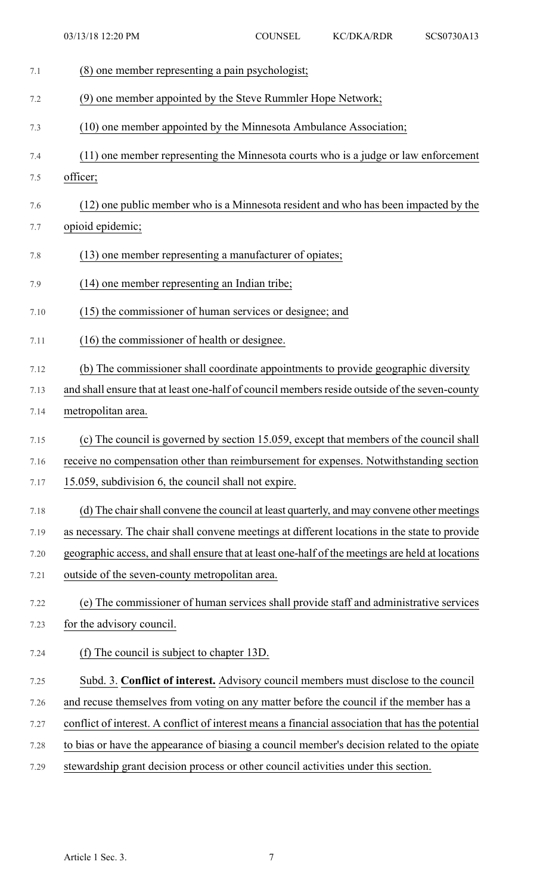| 7.1  | (8) one member representing a pain psychologist;                                                  |
|------|---------------------------------------------------------------------------------------------------|
| 7.2  | (9) one member appointed by the Steve Rummler Hope Network;                                       |
| 7.3  | (10) one member appointed by the Minnesota Ambulance Association;                                 |
| 7.4  | (11) one member representing the Minnesota courts who is a judge or law enforcement               |
| 7.5  | officer;                                                                                          |
| 7.6  | (12) one public member who is a Minnesota resident and who has been impacted by the               |
| 7.7  | opioid epidemic;                                                                                  |
| 7.8  | (13) one member representing a manufacturer of opiates;                                           |
| 7.9  | (14) one member representing an Indian tribe;                                                     |
| 7.10 | (15) the commissioner of human services or designee; and                                          |
| 7.11 | (16) the commissioner of health or designee.                                                      |
| 7.12 | (b) The commissioner shall coordinate appointments to provide geographic diversity                |
| 7.13 | and shall ensure that at least one-half of council members reside outside of the seven-county     |
| 7.14 | metropolitan area.                                                                                |
| 7.15 | (c) The council is governed by section 15.059, except that members of the council shall           |
| 7.16 | receive no compensation other than reimbursement for expenses. Notwithstanding section            |
| 7.17 | 15.059, subdivision 6, the council shall not expire.                                              |
| 7.18 | (d) The chair shall convene the council at least quarterly, and may convene other meetings        |
| 7.19 | as necessary. The chair shall convene meetings at different locations in the state to provide     |
| 7.20 | geographic access, and shall ensure that at least one-half of the meetings are held at locations  |
| 7.21 | outside of the seven-county metropolitan area.                                                    |
| 7.22 | (e) The commissioner of human services shall provide staff and administrative services            |
| 7.23 | for the advisory council.                                                                         |
| 7.24 | The council is subject to chapter 13D.<br>(f)                                                     |
| 7.25 | Subd. 3. Conflict of interest. Advisory council members must disclose to the council              |
| 7.26 | and recuse themselves from voting on any matter before the council if the member has a            |
| 7.27 | conflict of interest. A conflict of interest means a financial association that has the potential |
| 7.28 | to bias or have the appearance of biasing a council member's decision related to the opiate       |
| 7.29 | stewardship grant decision process or other council activities under this section.                |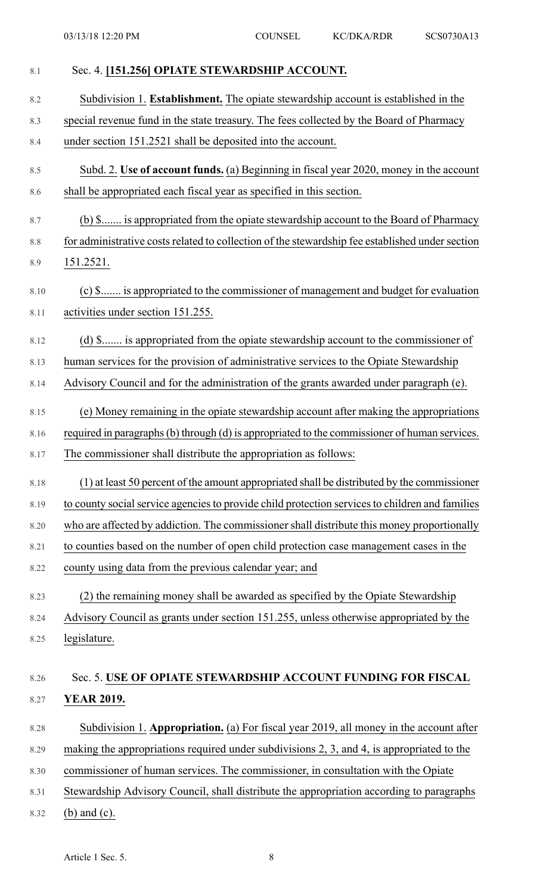| 8.1  | Sec. 4. [151.256] OPIATE STEWARDSHIP ACCOUNT.                                                   |
|------|-------------------------------------------------------------------------------------------------|
| 8.2  | Subdivision 1. Establishment. The opiate stewardship account is established in the              |
| 8.3  | special revenue fund in the state treasury. The fees collected by the Board of Pharmacy         |
| 8.4  | under section 151.2521 shall be deposited into the account.                                     |
| 8.5  | Subd. 2. Use of account funds. (a) Beginning in fiscal year 2020, money in the account          |
| 8.6  | shall be appropriated each fiscal year as specified in this section.                            |
| 8.7  | (b) \$ is appropriated from the opiate stewardship account to the Board of Pharmacy             |
| 8.8  | for administrative costs related to collection of the stewardship fee established under section |
| 8.9  | 151.2521.                                                                                       |
| 8.10 | (c) \$ is appropriated to the commissioner of management and budget for evaluation              |
| 8.11 | activities under section 151.255.                                                               |
| 8.12 | (d) \$ is appropriated from the opiate stewardship account to the commissioner of               |
| 8.13 | human services for the provision of administrative services to the Opiate Stewardship           |
| 8.14 | Advisory Council and for the administration of the grants awarded under paragraph (e).          |
| 8.15 | (e) Money remaining in the opiate stewardship account after making the appropriations           |
| 8.16 | required in paragraphs (b) through (d) is appropriated to the commissioner of human services.   |
| 8.17 | The commissioner shall distribute the appropriation as follows:                                 |
| 8.18 | (1) at least 50 percent of the amount appropriated shall be distributed by the commissioner     |
| 8.19 | to county social service agencies to provide child protection services to children and families |
| 8.20 | who are affected by addiction. The commissioner shall distribute this money proportionally      |
| 8.21 | to counties based on the number of open child protection case management cases in the           |
| 8.22 | county using data from the previous calendar year; and                                          |
| 8.23 | (2) the remaining money shall be awarded as specified by the Opiate Stewardship                 |
| 8.24 | Advisory Council as grants under section 151.255, unless otherwise appropriated by the          |
| 8.25 | legislature.                                                                                    |
| 8.26 | Sec. 5. USE OF OPIATE STEWARDSHIP ACCOUNT FUNDING FOR FISCAL                                    |
| 8.27 | <b>YEAR 2019.</b>                                                                               |
|      |                                                                                                 |
| 8.28 | Subdivision 1. Appropriation. (a) For fiscal year 2019, all money in the account after          |
| 8.29 | making the appropriations required under subdivisions 2, 3, and 4, is appropriated to the       |
| 8.30 | commissioner of human services. The commissioner, in consultation with the Opiate               |
| 8.31 | Stewardship Advisory Council, shall distribute the appropriation according to paragraphs        |
| 8.32 | (b) and (c).                                                                                    |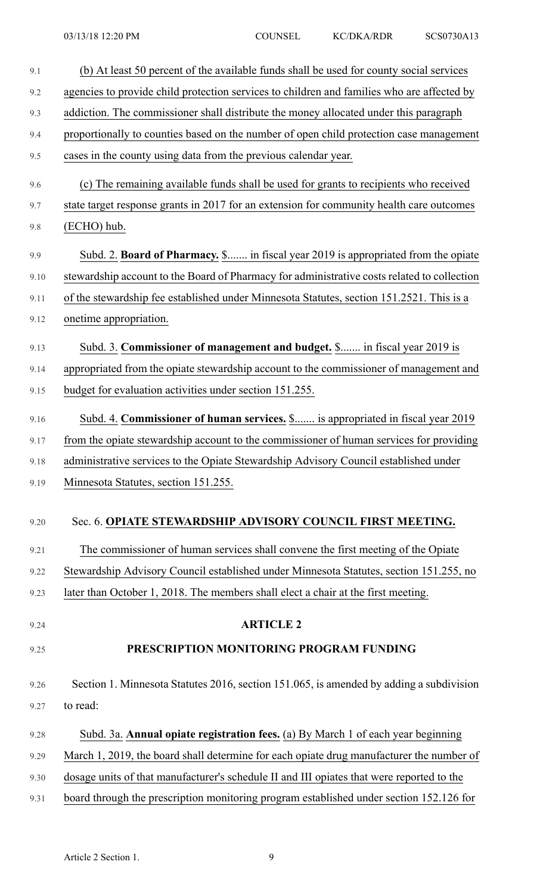| 9.1  | (b) At least 50 percent of the available funds shall be used for county social services     |
|------|---------------------------------------------------------------------------------------------|
| 9.2  | agencies to provide child protection services to children and families who are affected by  |
| 9.3  | addiction. The commissioner shall distribute the money allocated under this paragraph       |
| 9.4  | proportionally to counties based on the number of open child protection case management     |
| 9.5  | cases in the county using data from the previous calendar year.                             |
| 9.6  | (c) The remaining available funds shall be used for grants to recipients who received       |
| 9.7  | state target response grants in 2017 for an extension for community health care outcomes    |
| 9.8  | (ECHO) hub.                                                                                 |
| 9.9  | Subd. 2. Board of Pharmacy. \$ in fiscal year 2019 is appropriated from the opiate          |
| 9.10 | stewardship account to the Board of Pharmacy for administrative costs related to collection |
| 9.11 | of the stewardship fee established under Minnesota Statutes, section 151.2521. This is a    |
| 9.12 | onetime appropriation.                                                                      |
| 9.13 | Subd. 3. Commissioner of management and budget. \$ in fiscal year 2019 is                   |
| 9.14 | appropriated from the opiate stewardship account to the commissioner of management and      |
| 9.15 | budget for evaluation activities under section 151.255.                                     |
| 9.16 | Subd. 4. Commissioner of human services. \$ is appropriated in fiscal year 2019             |
| 9.17 | from the opiate stewardship account to the commissioner of human services for providing     |
| 9.18 | administrative services to the Opiate Stewardship Advisory Council established under        |
| 9.19 | Minnesota Statutes, section 151.255.                                                        |
| 9.20 | Sec. 6. OPIATE STEWARDSHIP ADVISORY COUNCIL FIRST MEETING.                                  |
| 9.21 | The commissioner of human services shall convene the first meeting of the Opiate            |
| 9.22 | Stewardship Advisory Council established under Minnesota Statutes, section 151.255, no      |
| 9.23 | later than October 1, 2018. The members shall elect a chair at the first meeting.           |
| 9.24 | <b>ARTICLE 2</b>                                                                            |
| 9.25 | PRESCRIPTION MONITORING PROGRAM FUNDING                                                     |
| 9.26 | Section 1. Minnesota Statutes 2016, section 151.065, is amended by adding a subdivision     |
| 9.27 | to read:                                                                                    |
| 9.28 | Subd. 3a. Annual opiate registration fees. (a) By March 1 of each year beginning            |
| 9.29 | March 1, 2019, the board shall determine for each opiate drug manufacturer the number of    |
| 9.30 | dosage units of that manufacturer's schedule II and III opiates that were reported to the   |
| 9.31 | board through the prescription monitoring program established under section 152.126 for     |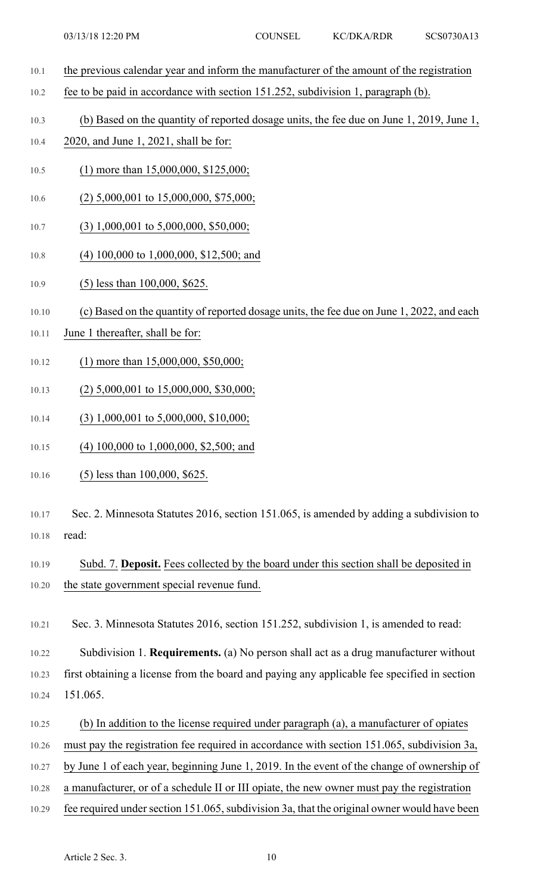- 10.1 the previous calendar year and inform the manufacturer of the amount of the registration
- 10.2 fee to be paid in accordance with section 151.252, subdivision 1, paragraph (b).
- 10.3 (b) Based on the quantity of reported dosage units, the fee due on June 1, 2019, June 1,
- 10.4 2020, and June 1, 2021, shall be for:
- 10.5 (1) more than 15,000,000, \$125,000;
- 10.6 (2) 5,000,001 to 15,000,000, \$75,000;
- 10.7 (3) 1,000,001 to 5,000,000, \$50,000;
- 10.8 (4) 100,000 to 1,000,000, \$12,500; and
- 10.9 (5) less than 100,000, \$625.
- 10.10 (c) Based on the quantity of reported dosage units, the fee due on June 1, 2022, and each
- 10.11 June 1 thereafter, shall be for:
- 10.12 (1) more than 15,000,000, \$50,000;
- 10.13 (2) 5,000,001 to 15,000,000, \$30,000;
- 10.14 (3) 1,000,001 to 5,000,000, \$10,000;
- 10.15 (4) 100,000 to 1,000,000, \$2,500; and
- 10.16 (5) less than 100,000, \$625.
- 10.17 Sec. 2. Minnesota Statutes 2016, section 151.065, is amended by adding a subdivision to 10.18 read:
- 10.19 Subd. 7. **Deposit.** Fees collected by the board under this section shall be deposited in 10.20 the state government special revenue fund.

10.21 Sec. 3. Minnesota Statutes 2016, section 151.252, subdivision 1, is amended to read:

10.22 Subdivision 1. **Requirements.** (a) No person shall act as a drug manufacturer without 10.23 first obtaining a license from the board and paying any applicable fee specified in section 10.24 151.065.

- 10.25 (b) In addition to the license required under paragraph (a), a manufacturer of opiates
- 10.26 must pay the registration fee required in accordance with section 151.065, subdivision 3a,
- 10.27 by June 1 of each year, beginning June 1, 2019. In the event of the change of ownership of
- 10.28 a manufacturer, or of a schedule II or III opiate, the new owner must pay the registration
- 10.29 fee required under section 151.065, subdivision 3a, that the original owner would have been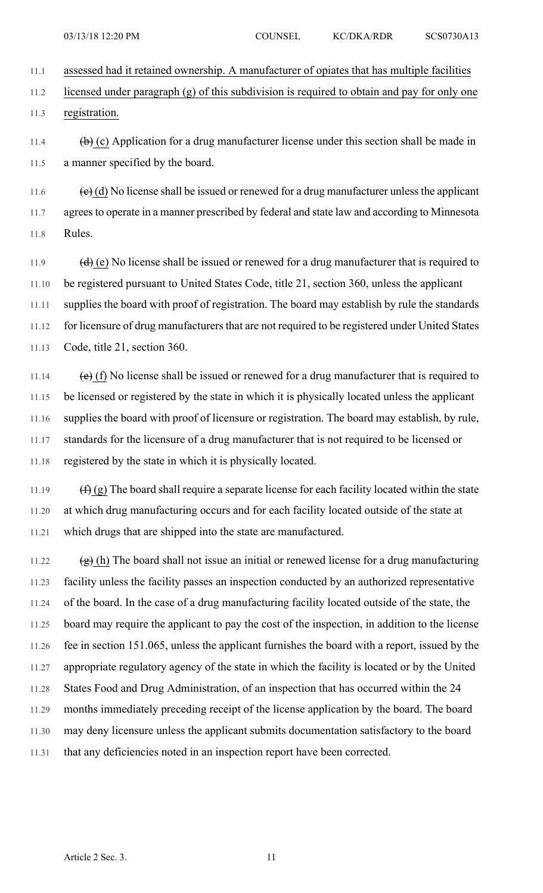11.1 assessed had it retained ownership. A manufacturer of opiates that has multiple facilities

11.2 licensed under paragraph (g) of this subdivision is required to obtain and pay for only one 11.3 registration.

11.4  $\qquad \qquad \textbf{(b)}$  (c) Application for a drug manufacturer license under this section shall be made in 11.5 a manner specified by the board.

11.6  $\left(\frac{e}{c}\right)$  (d) No license shall be issued or renewed for a drug manufacturer unless the applicant 11.7 agrees to operate in a manner prescribed by federal and state law and according to Minnesota 11.8 Rules.

11.9  $(d)$  (e) No license shall be issued or renewed for a drug manufacturer that is required to 11.10 be registered pursuant to United States Code, title 21, section 360, unless the applicant 11.11 supplies the board with proof of registration. The board may establish by rule the standards 11.12 for licensure of drug manufacturers that are not required to be registered under United States 11.13 Code, title 21, section 360.

11.14 (e) (f) No license shall be issued or renewed for a drug manufacturer that is required to 11.15 be licensed or registered by the state in which it is physically located unless the applicant 11.16 supplies the board with proof of licensure or registration. The board may establish, by rule, 11.17 standards for the licensure of a drug manufacturer that is not required to be licensed or 11.18 registered by the state in which it is physically located.

11.19  $(f)$  (g) The board shall require a separate license for each facility located within the state 11.20 at which drug manufacturing occurs and for each facility located outside of the state at 11.21 which drugs that are shipped into the state are manufactured.

11.22 (g) (h) The board shall not issue an initial or renewed license for a drug manufacturing 11.23 facility unless the facility passes an inspection conducted by an authorized representative 11.24 of the board. In the case of a drug manufacturing facility located outside of the state, the 11.25 board may require the applicant to pay the cost of the inspection, in addition to the license 11.26 fee in section 151.065, unless the applicant furnishes the board with a report, issued by the 11.27 appropriate regulatory agency of the state in which the facility is located or by the United 11.28 States Food and Drug Administration, of an inspection that has occurred within the 24 11.29 months immediately preceding receipt of the license application by the board. The board 11.30 may deny licensure unless the applicant submits documentation satisfactory to the board 11.31 that any deficiencies noted in an inspection report have been corrected.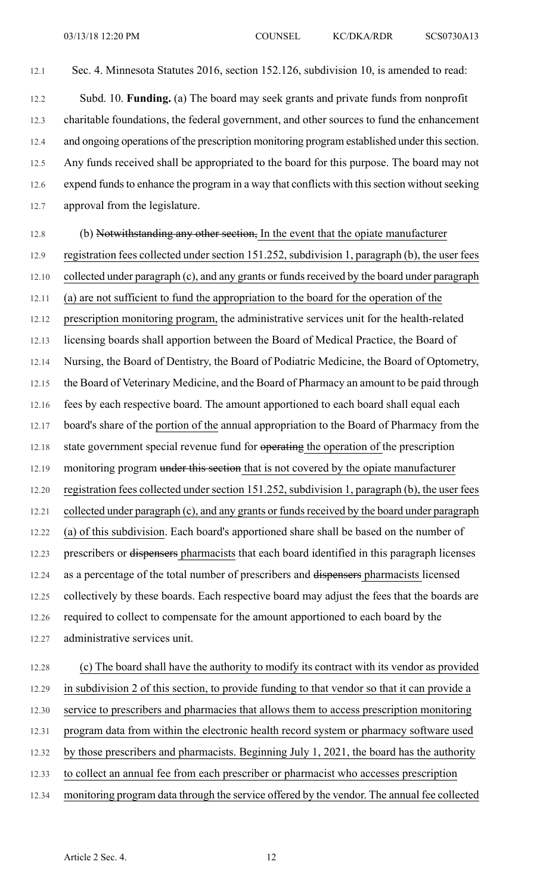12.1 Sec. 4. Minnesota Statutes 2016, section 152.126, subdivision 10, is amended to read:

12.2 Subd. 10. **Funding.** (a) The board may seek grants and private funds from nonprofit 12.3 charitable foundations, the federal government, and other sources to fund the enhancement 12.4 and ongoing operations of the prescription monitoring program established under this section. 12.5 Any funds received shall be appropriated to the board for this purpose. The board may not 12.6 expend funds to enhance the program in a way that conflicts with this section without seeking 12.7 approval from the legislature.

12.8 (b) Notwithstanding any other section, In the event that the opiate manufacturer 12.9 registration fees collected under section 151.252, subdivision 1, paragraph (b), the user fees 12.10 collected under paragraph (c), and any grants or funds received by the board under paragraph 12.11 (a) are not sufficient to fund the appropriation to the board for the operation of the 12.12 prescription monitoring program, the administrative services unit for the health-related 12.13 licensing boards shall apportion between the Board of Medical Practice, the Board of 12.14 Nursing, the Board of Dentistry, the Board of Podiatric Medicine, the Board of Optometry, 12.15 the Board of Veterinary Medicine, and the Board of Pharmacy an amount to be paid through 12.16 fees by each respective board. The amount apportioned to each board shall equal each 12.17 board's share of the portion of the annual appropriation to the Board of Pharmacy from the 12.18 state government special revenue fund for operating the operation of the prescription 12.19 monitoring program under this section that is not covered by the opiate manufacturer 12.20 registration fees collected under section 151.252, subdivision 1, paragraph (b), the user fees 12.21 collected under paragraph (c), and any grants or funds received by the board under paragraph 12.22 (a) of this subdivision. Each board's apportioned share shall be based on the number of 12.23 prescribers or dispensers pharmacists that each board identified in this paragraph licenses 12.24 as a percentage of the total number of prescribers and dispensers pharmacists licensed 12.25 collectively by these boards. Each respective board may adjust the fees that the boards are 12.26 required to collect to compensate for the amount apportioned to each board by the 12.27 administrative services unit.

12.28 (c) The board shall have the authority to modify its contract with its vendor as provided 12.29 in subdivision 2 of this section, to provide funding to that vendor so that it can provide a 12.30 service to prescribers and pharmacies that allows them to access prescription monitoring 12.31 program data from within the electronic health record system or pharmacy software used 12.32 by those prescribers and pharmacists. Beginning July 1, 2021, the board has the authority 12.33 to collect an annual fee from each prescriber or pharmacist who accesses prescription 12.34 monitoring program data through the service offered by the vendor. The annual fee collected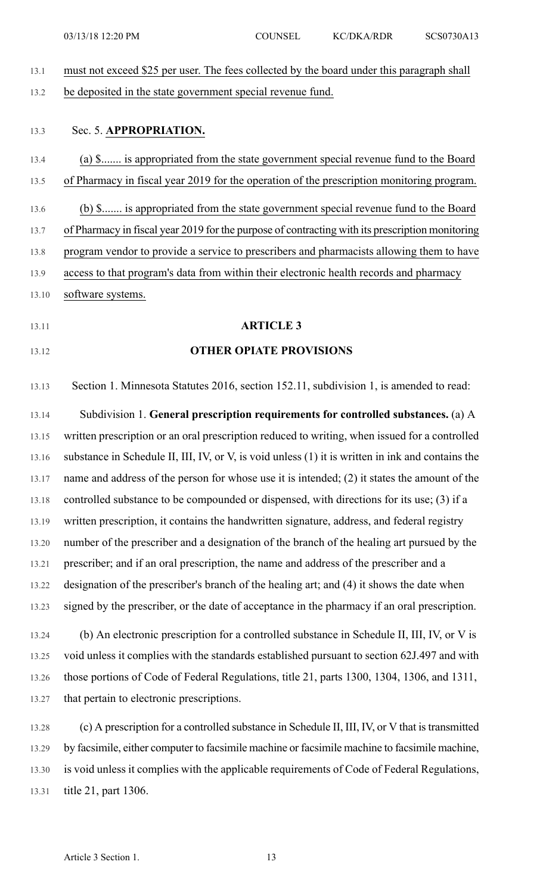| 13.1  | must not exceed \$25 per user. The fees collected by the board under this paragraph shall         |
|-------|---------------------------------------------------------------------------------------------------|
| 13.2  | be deposited in the state government special revenue fund.                                        |
|       |                                                                                                   |
| 13.3  | Sec. 5. APPROPRIATION.                                                                            |
| 13.4  | (a) \$ is appropriated from the state government special revenue fund to the Board                |
| 13.5  | of Pharmacy in fiscal year 2019 for the operation of the prescription monitoring program.         |
| 13.6  | (b) \$ is appropriated from the state government special revenue fund to the Board                |
| 13.7  | of Pharmacy in fiscal year 2019 for the purpose of contracting with its prescription monitoring   |
| 13.8  | program vendor to provide a service to prescribers and pharmacists allowing them to have          |
| 13.9  | access to that program's data from within their electronic health records and pharmacy            |
| 13.10 | software systems.                                                                                 |
| 13.11 | <b>ARTICLE 3</b>                                                                                  |
|       |                                                                                                   |
| 13.12 | <b>OTHER OPIATE PROVISIONS</b>                                                                    |
| 13.13 | Section 1. Minnesota Statutes 2016, section 152.11, subdivision 1, is amended to read:            |
| 13.14 | Subdivision 1. General prescription requirements for controlled substances. (a) A                 |
| 13.15 | written prescription or an oral prescription reduced to writing, when issued for a controlled     |
| 13.16 | substance in Schedule II, III, IV, or V, is void unless (1) it is written in ink and contains the |
| 13.17 | name and address of the person for whose use it is intended; (2) it states the amount of the      |
| 13.18 | controlled substance to be compounded or dispensed, with directions for its use; (3) if a         |
| 13.19 | written prescription, it contains the handwritten signature, address, and federal registry        |
| 13.20 | number of the prescriber and a designation of the branch of the healing art pursued by the        |
| 13.21 | prescriber; and if an oral prescription, the name and address of the prescriber and a             |
| 13.22 | designation of the prescriber's branch of the healing art; and (4) it shows the date when         |
| 13.23 | signed by the prescriber, or the date of acceptance in the pharmacy if an oral prescription.      |
| 13.24 | (b) An electronic prescription for a controlled substance in Schedule II, III, IV, or V is        |
| 13.25 | void unless it complies with the standards established pursuant to section 62J.497 and with       |
| 13.26 | those portions of Code of Federal Regulations, title 21, parts 1300, 1304, 1306, and 1311,        |
| 13.27 | that pertain to electronic prescriptions.                                                         |
| 13.28 | (c) A prescription for a controlled substance in Schedule II, III, IV, or V that is transmitted   |
| 13.29 | by facsimile, either computer to facsimile machine or facsimile machine to facsimile machine,     |
| 13.30 | is void unless it complies with the applicable requirements of Code of Federal Regulations,       |
| 13.31 | title 21, part 1306.                                                                              |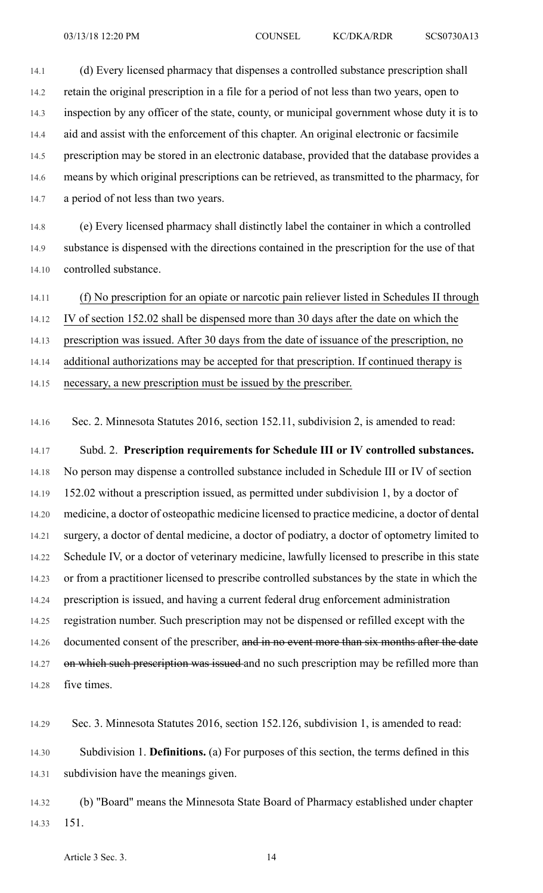14.1 (d) Every licensed pharmacy that dispenses a controlled substance prescription shall 14.2 retain the original prescription in a file for a period of not less than two years, open to 14.3 inspection by any officer of the state, county, or municipal government whose duty it is to 14.4 aid and assist with the enforcement of this chapter. An original electronic or facsimile 14.5 prescription may be stored in an electronic database, provided that the database provides a 14.6 means by which original prescriptions can be retrieved, as transmitted to the pharmacy, for 14.7 a period of not less than two years.

14.8 (e) Every licensed pharmacy shall distinctly label the container in which a controlled 14.9 substance is dispensed with the directions contained in the prescription for the use of that 14.10 controlled substance.

14.11 (f) No prescription for an opiate or narcotic pain reliever listed in Schedules II through

14.12 IV of section 152.02 shall be dispensed more than 30 days after the date on which the

14.13 prescription was issued. After 30 days from the date of issuance of the prescription, no

14.14 additional authorizations may be accepted for that prescription. If continued therapy is

14.15 necessary, a new prescription must be issued by the prescriber.

14.16 Sec. 2. Minnesota Statutes 2016, section 152.11, subdivision 2, is amended to read:

14.17 Subd. 2. **Prescription requirements for Schedule III or IV controlled substances.** 14.18 No person may dispense a controlled substance included in Schedule III or IV of section 14.19 152.02 without a prescription issued, as permitted under subdivision 1, by a doctor of 14.20 medicine, a doctor of osteopathic medicine licensed to practice medicine, a doctor of dental 14.21 surgery, a doctor of dental medicine, a doctor of podiatry, a doctor of optometry limited to 14.22 Schedule IV, or a doctor of veterinary medicine, lawfully licensed to prescribe in this state 14.23 or from a practitioner licensed to prescribe controlled substances by the state in which the 14.24 prescription is issued, and having a current federal drug enforcement administration 14.25 registration number. Such prescription may not be dispensed or refilled except with the 14.26 documented consent of the prescriber, and in no event more than six months after the date 14.27 on which such prescription was issued and no such prescription may be refilled more than 14.28 five times.

14.29 Sec. 3. Minnesota Statutes 2016, section 152.126, subdivision 1, is amended to read: 14.30 Subdivision 1. **Definitions.** (a) For purposes of this section, the terms defined in this 14.31 subdivision have the meanings given.

14.32 (b) "Board" means the Minnesota State Board of Pharmacy established under chapter 14.33 151.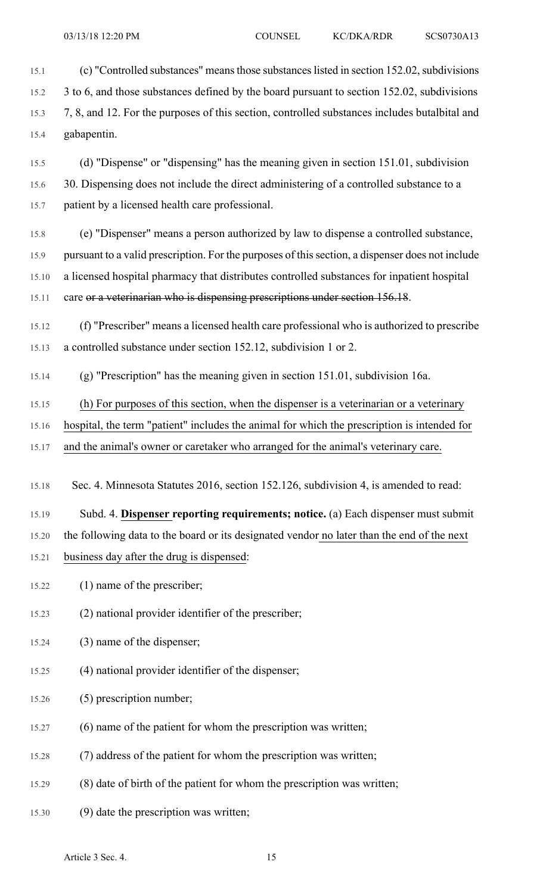15.1 (c) "Controlled substances" means those substances listed in section 152.02, subdivisions 15.2 3 to 6, and those substances defined by the board pursuant to section 152.02, subdivisions 15.3 7, 8, and 12. For the purposes of this section, controlled substances includes butalbital and 15.4 gabapentin.

15.5 (d) "Dispense" or "dispensing" has the meaning given in section 151.01, subdivision 15.6 30. Dispensing does not include the direct administering of a controlled substance to a 15.7 patient by a licensed health care professional.

15.8 (e) "Dispenser" means a person authorized by law to dispense a controlled substance, 15.9 pursuant to a valid prescription. For the purposes of thissection, a dispenser does not include 15.10 a licensed hospital pharmacy that distributes controlled substances for inpatient hospital 15.11 care or a veterinarian who is dispensing prescriptions under section 156.18.

15.12 (f) "Prescriber" means a licensed health care professional who is authorized to prescribe 15.13 a controlled substance under section 152.12, subdivision 1 or 2.

15.14 (g) "Prescription" has the meaning given in section 151.01, subdivision 16a.

15.15 (h) For purposes of this section, when the dispenser is a veterinarian or a veterinary

15.16 hospital, the term "patient" includes the animal for which the prescription is intended for

15.17 and the animal's owner or caretaker who arranged for the animal's veterinary care.

15.18 Sec. 4. Minnesota Statutes 2016, section 152.126, subdivision 4, is amended to read:

15.19 Subd. 4. **Dispenser reporting requirements; notice.** (a) Each dispenser must submit 15.20 the following data to the board or its designated vendor no later than the end of the next 15.21 business day after the drug is dispensed:

- 15.22 (1) name of the prescriber;
- 15.23 (2) national provider identifier of the prescriber;
- 15.24 (3) name of the dispenser;
- 15.25 (4) national provider identifier of the dispenser;
- 15.26 (5) prescription number;
- 15.27 (6) name of the patient for whom the prescription was written;
- 15.28 (7) address of the patient for whom the prescription was written;
- 15.29 (8) date of birth of the patient for whom the prescription was written;
- 15.30 (9) date the prescription was written;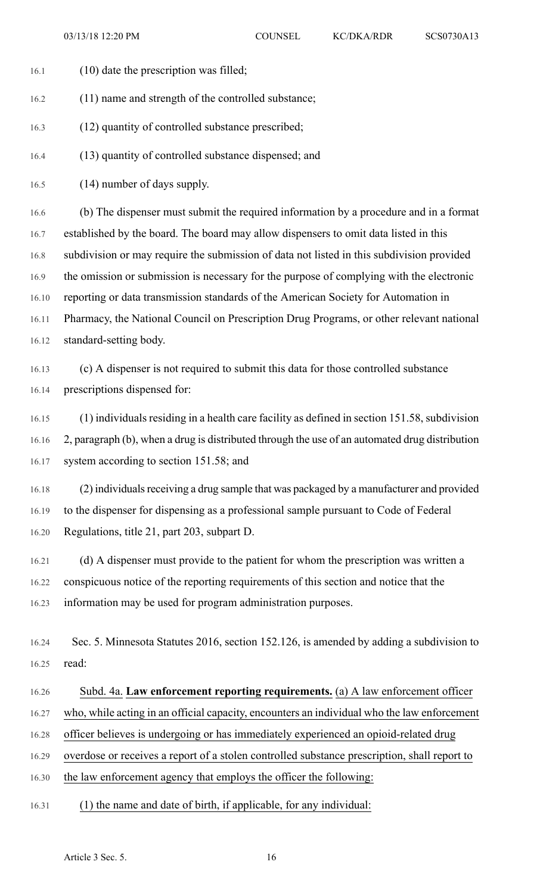- 16.1 (10) date the prescription was filled;
- 16.2 (11) name and strength of the controlled substance;
- 16.3 (12) quantity of controlled substance prescribed;
- 16.4 (13) quantity of controlled substance dispensed; and
- 16.5 (14) number of days supply.

16.6 (b) The dispenser must submit the required information by a procedure and in a format 16.7 established by the board. The board may allow dispensers to omit data listed in this 16.8 subdivision or may require the submission of data not listed in this subdivision provided 16.9 the omission or submission is necessary for the purpose of complying with the electronic 16.10 reporting or data transmission standards of the American Society for Automation in 16.11 Pharmacy, the National Council on Prescription Drug Programs, or other relevant national 16.12 standard-setting body.

16.13 (c) A dispenser is not required to submit this data for those controlled substance 16.14 prescriptions dispensed for:

16.15 (1) individuals residing in a health care facility as defined in section 151.58, subdivision 16.16 2, paragraph (b), when a drug is distributed through the use of an automated drug distribution 16.17 system according to section 151.58; and

16.18 (2) individuals receiving a drug sample that was packaged by a manufacturer and provided 16.19 to the dispenser for dispensing as a professional sample pursuant to Code of Federal 16.20 Regulations, title 21, part 203, subpart D.

16.21 (d) A dispenser must provide to the patient for whom the prescription was written a 16.22 conspicuous notice of the reporting requirements of this section and notice that the 16.23 information may be used for program administration purposes.

16.24 Sec. 5. Minnesota Statutes 2016, section 152.126, is amended by adding a subdivision to 16.25 read:

## 16.26 Subd. 4a. **Law enforcement reporting requirements.** (a) A law enforcement officer

16.27 who, while acting in an official capacity, encounters an individual who the law enforcement

16.28 officer believes is undergoing or has immediately experienced an opioid-related drug

16.29 overdose or receives a report of a stolen controlled substance prescription, shall report to

- 16.30 the law enforcement agency that employs the officer the following:
- 16.31 (1) the name and date of birth, if applicable, for any individual: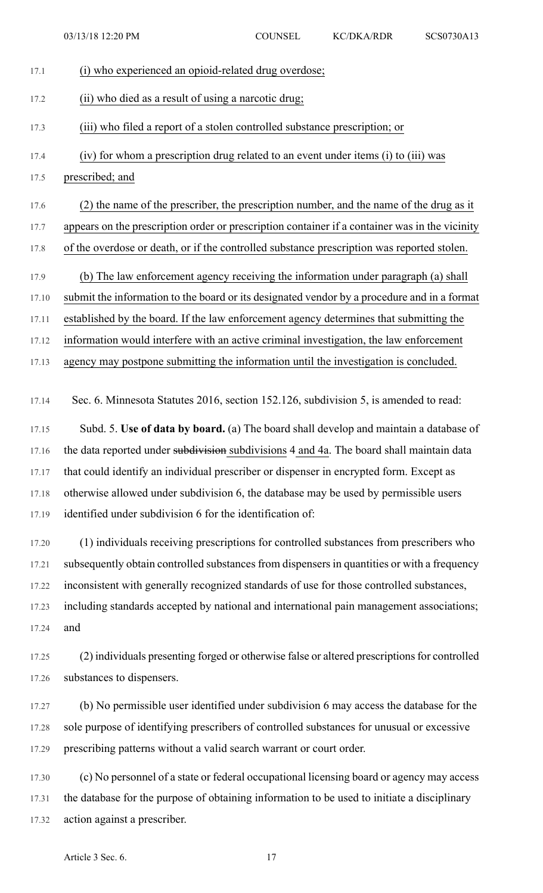03/13/18 12:20 PM COUNSEL KC/DKA/RDR SCS0730A13

| 17.1  | (i) who experienced an opioid-related drug overdose;                                           |
|-------|------------------------------------------------------------------------------------------------|
| 17.2  | (ii) who died as a result of using a narcotic drug;                                            |
| 17.3  | (iii) who filed a report of a stolen controlled substance prescription; or                     |
| 17.4  | (iv) for whom a prescription drug related to an event under items (i) to (iii) was             |
| 17.5  | prescribed; and                                                                                |
| 17.6  | (2) the name of the prescriber, the prescription number, and the name of the drug as it        |
| 17.7  | appears on the prescription order or prescription container if a container was in the vicinity |
| 17.8  | of the overdose or death, or if the controlled substance prescription was reported stolen.     |
| 17.9  | (b) The law enforcement agency receiving the information under paragraph (a) shall             |
| 17.10 | submit the information to the board or its designated vendor by a procedure and in a format    |
| 17.11 | established by the board. If the law enforcement agency determines that submitting the         |
| 17.12 | information would interfere with an active criminal investigation, the law enforcement         |
| 17.13 | agency may postpone submitting the information until the investigation is concluded.           |
| 17.14 | Sec. 6. Minnesota Statutes 2016, section 152.126, subdivision 5, is amended to read:           |
| 17.15 | Subd. 5. Use of data by board. (a) The board shall develop and maintain a database of          |
| 17.16 | the data reported under subdivision subdivisions 4 and 4a. The board shall maintain data       |
| 17.17 | that could identify an individual prescriber or dispenser in encrypted form. Except as         |
| 17.18 | otherwise allowed under subdivision 6, the database may be used by permissible users           |
| 17.19 | identified under subdivision 6 for the identification of:                                      |
| 17.20 | (1) individuals receiving prescriptions for controlled substances from prescribers who         |
| 17.21 | subsequently obtain controlled substances from dispensers in quantities or with a frequency    |
| 17.22 | inconsistent with generally recognized standards of use for those controlled substances,       |
| 17.23 | including standards accepted by national and international pain management associations;       |
| 17.24 | and                                                                                            |
| 17.25 | (2) individuals presenting forged or otherwise false or altered prescriptions for controlled   |
| 17.26 | substances to dispensers.                                                                      |
| 17.27 | (b) No permissible user identified under subdivision 6 may access the database for the         |
| 17.28 | sole purpose of identifying prescribers of controlled substances for unusual or excessive      |
| 17.29 | prescribing patterns without a valid search warrant or court order.                            |
| 17.30 | (c) No personnel of a state or federal occupational licensing board or agency may access       |
| 17.31 | the database for the purpose of obtaining information to be used to initiate a disciplinary    |
| 17.32 | action against a prescriber.                                                                   |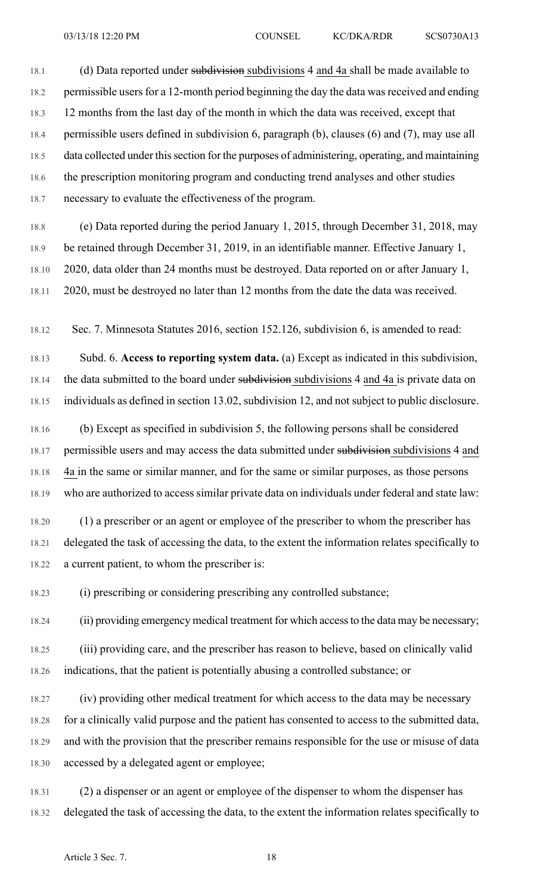18.1 (d) Data reported under subdivisions ubdivisions 4 and 4a shall be made available to 18.2 permissible users for a 12-month period beginning the day the data was received and ending 18.3 12 months from the last day of the month in which the data was received, except that 18.4 permissible users defined in subdivision 6, paragraph (b), clauses (6) and (7), may use all 18.5 data collected under this section for the purposes of administering, operating, and maintaining 18.6 the prescription monitoring program and conducting trend analyses and other studies 18.7 necessary to evaluate the effectiveness of the program.

18.8 (e) Data reported during the period January 1, 2015, through December 31, 2018, may 18.9 be retained through December 31, 2019, in an identifiable manner. Effective January 1, 18.10 2020, data older than 24 months must be destroyed. Data reported on or after January 1, 18.11 2020, must be destroyed no later than 12 months from the date the data was received.

18.12 Sec. 7. Minnesota Statutes 2016, section 152.126, subdivision 6, is amended to read:

18.13 Subd. 6. **Access to reporting system data.** (a) Except as indicated in this subdivision, 18.14 the data submitted to the board under subdivisions a ubdivisions 4 and 4a is private data on 18.15 individuals as defined in section 13.02, subdivision 12, and not subject to public disclosure.

18.16 (b) Except as specified in subdivision 5, the following persons shall be considered 18.17 permissible users and may access the data submitted under subdivisions subdivisions 4 and 18.18 4a in the same or similar manner, and for the same or similar purposes, as those persons 18.19 who are authorized to access similar private data on individuals under federal and state law:

18.20 (1) a prescriber or an agent or employee of the prescriber to whom the prescriber has 18.21 delegated the task of accessing the data, to the extent the information relates specifically to 18.22 a current patient, to whom the prescriber is:

18.23 (i) prescribing or considering prescribing any controlled substance;

18.24 (ii) providing emergency medical treatment for which access to the data may be necessary;

18.25 (iii) providing care, and the prescriber has reason to believe, based on clinically valid 18.26 indications, that the patient is potentially abusing a controlled substance; or

18.27 (iv) providing other medical treatment for which access to the data may be necessary 18.28 for a clinically valid purpose and the patient has consented to access to the submitted data, 18.29 and with the provision that the prescriber remains responsible for the use or misuse of data 18.30 accessed by a delegated agent or employee;

18.31 (2) a dispenser or an agent or employee of the dispenser to whom the dispenser has 18.32 delegated the task of accessing the data, to the extent the information relates specifically to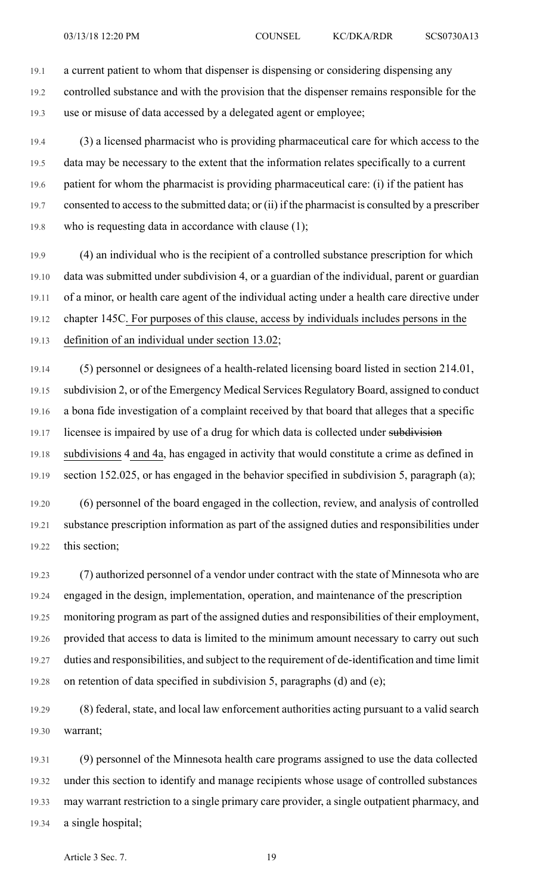19.1 a current patient to whom that dispenser is dispensing or considering dispensing any 19.2 controlled substance and with the provision that the dispenser remains responsible for the 19.3 use or misuse of data accessed by a delegated agent or employee;

19.4 (3) a licensed pharmacist who is providing pharmaceutical care for which access to the 19.5 data may be necessary to the extent that the information relates specifically to a current 19.6 patient for whom the pharmacist is providing pharmaceutical care: (i) if the patient has 19.7 consented to accessto the submitted data; or (ii) if the pharmacist is consulted by a prescriber 19.8 who is requesting data in accordance with clause (1);

19.9 (4) an individual who is the recipient of a controlled substance prescription for which 19.10 data was submitted under subdivision 4, or a guardian of the individual, parent or guardian 19.11 of a minor, or health care agent of the individual acting under a health care directive under 19.12 chapter 145C. For purposes of this clause, access by individuals includes persons in the 19.13 definition of an individual under section 13.02;

19.14 (5) personnel or designees of a health-related licensing board listed in section 214.01, 19.15 subdivision 2, or of the Emergency Medical Services Regulatory Board, assigned to conduct 19.16 a bona fide investigation of a complaint received by that board that alleges that a specific 19.17 licensee is impaired by use of a drug for which data is collected under subdivision 19.18 subdivisions 4 and 4a, has engaged in activity that would constitute a crime as defined in 19.19 section 152.025, or has engaged in the behavior specified in subdivision 5, paragraph (a);

19.20 (6) personnel of the board engaged in the collection, review, and analysis of controlled 19.21 substance prescription information as part of the assigned duties and responsibilities under 19.22 this section;

19.23 (7) authorized personnel of a vendor under contract with the state of Minnesota who are 19.24 engaged in the design, implementation, operation, and maintenance of the prescription 19.25 monitoring program as part of the assigned duties and responsibilities of their employment, 19.26 provided that access to data is limited to the minimum amount necessary to carry out such 19.27 duties and responsibilities, and subject to the requirement of de-identification and time limit 19.28 on retention of data specified in subdivision 5, paragraphs (d) and (e);

19.29 (8) federal, state, and local law enforcement authorities acting pursuant to a valid search 19.30 warrant;

19.31 (9) personnel of the Minnesota health care programs assigned to use the data collected 19.32 under this section to identify and manage recipients whose usage of controlled substances 19.33 may warrant restriction to a single primary care provider, a single outpatient pharmacy, and 19.34 a single hospital;

Article 3 Sec. 7. 19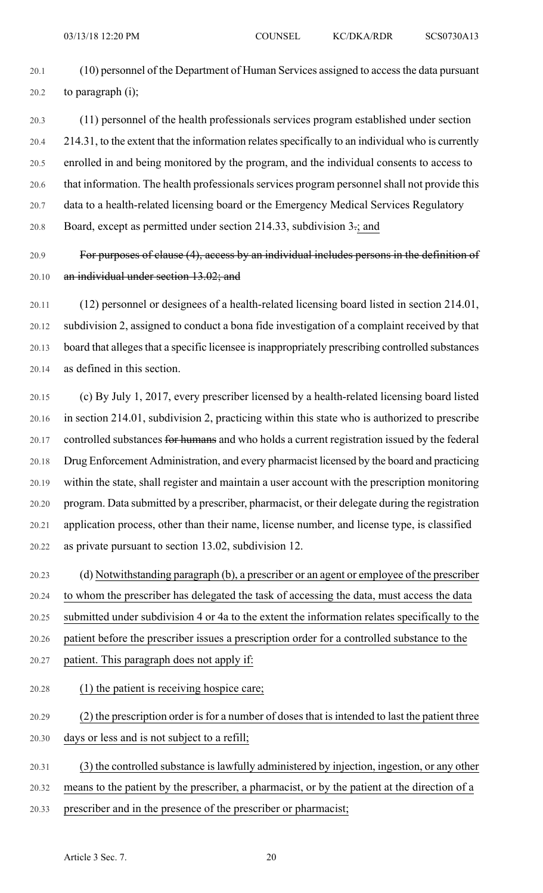20.1 (10) personnel of the Department of Human Services assigned to accessthe data pursuant  $20.2$  to paragraph (i);

20.3 (11) personnel of the health professionals services program established under section 20.4 214.31, to the extent that the information relates specifically to an individual who is currently 20.5 enrolled in and being monitored by the program, and the individual consents to access to 20.6 that information. The health professionals services program personnel shall not provide this 20.7 data to a health-related licensing board or the Emergency Medical Services Regulatory 20.8 Board, except as permitted under section 214.33, subdivision 3.; and

20.9 For purposes of clause (4), access by an individual includes persons in the definition of 20.10 an individual under section 13.02; and

20.11 (12) personnel or designees of a health-related licensing board listed in section 214.01, 20.12 subdivision 2, assigned to conduct a bona fide investigation of a complaint received by that 20.13 board that alleges that a specific licensee is inappropriately prescribing controlled substances 20.14 as defined in this section.

20.15 (c) By July 1, 2017, every prescriber licensed by a health-related licensing board listed 20.16 in section 214.01, subdivision 2, practicing within this state who is authorized to prescribe 20.17 controlled substances for humans and who holds a current registration issued by the federal 20.18 Drug Enforcement Administration, and every pharmacist licensed by the board and practicing 20.19 within the state, shall register and maintain a user account with the prescription monitoring 20.20 program. Data submitted by a prescriber, pharmacist, or their delegate during the registration 20.21 application process, other than their name, license number, and license type, is classified 20.22 as private pursuant to section 13.02, subdivision 12.

20.23 (d) Notwithstanding paragraph (b), a prescriber or an agent or employee of the prescriber 20.24 to whom the prescriber has delegated the task of accessing the data, must access the data 20.25 submitted under subdivision 4 or 4a to the extent the information relates specifically to the 20.26 patient before the prescriber issues a prescription order for a controlled substance to the 20.27 patient. This paragraph does not apply if:

20.28 (1) the patient is receiving hospice care;

20.29 (2) the prescription order is for a number of doses that is intended to last the patient three

20.30 days or less and is not subject to a refill;

- 20.31 (3) the controlled substance is lawfully administered by injection, ingestion, or any other
- 20.32 means to the patient by the prescriber, a pharmacist, or by the patient at the direction of a
- 20.33 prescriber and in the presence of the prescriber or pharmacist;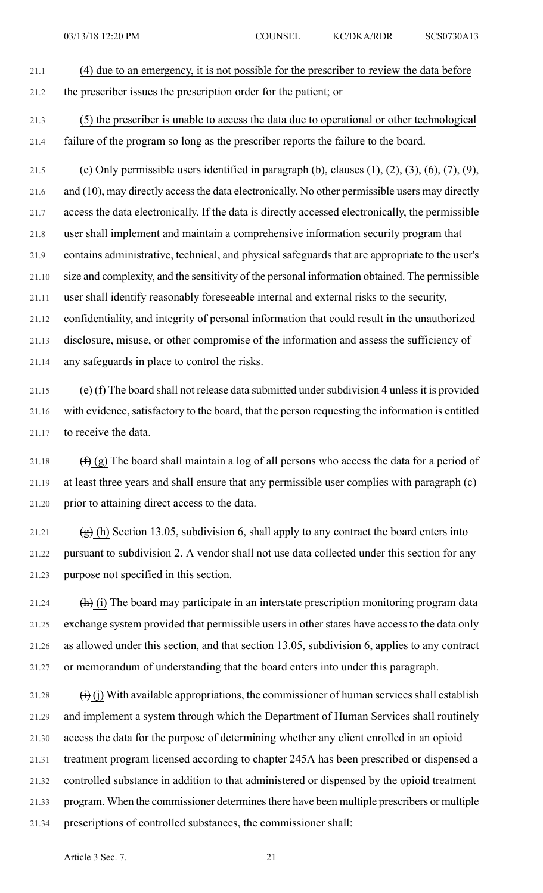## 21.1 (4) due to an emergency, it is not possible for the prescriber to review the data before 21.2 the prescriber issues the prescription order for the patient; or 21.3 (5) the prescriber is unable to access the data due to operational or other technological

21.4 failure of the program so long as the prescriber reports the failure to the board.

21.5 (e) Only permissible users identified in paragraph (b), clauses  $(1)$ ,  $(2)$ ,  $(3)$ ,  $(6)$ ,  $(7)$ ,  $(9)$ , 21.6 and (10), may directly access the data electronically. No other permissible users may directly 21.7 access the data electronically. If the data is directly accessed electronically, the permissible 21.8 user shall implement and maintain a comprehensive information security program that 21.9 contains administrative, technical, and physical safeguards that are appropriate to the user's 21.10 size and complexity, and the sensitivity of the personal information obtained. The permissible 21.11 user shall identify reasonably foreseeable internal and external risks to the security, 21.12 confidentiality, and integrity of personal information that could result in the unauthorized 21.13 disclosure, misuse, or other compromise of the information and assess the sufficiency of 21.14 any safeguards in place to control the risks.

21.15  $\left(\mathbf{e}\right)$  (f) The board shall not release data submitted under subdivision 4 unless it is provided 21.16 with evidence, satisfactory to the board, that the person requesting the information is entitled 21.17 to receive the data.

21.18  $(f)$  (g) The board shall maintain a log of all persons who access the data for a period of 21.19 at least three years and shall ensure that any permissible user complies with paragraph (c) 21.20 prior to attaining direct access to the data.

21.21 (g) (h) Section 13.05, subdivision 6, shall apply to any contract the board enters into 21.22 pursuant to subdivision 2. A vendor shall not use data collected under this section for any 21.23 purpose not specified in this section.

21.24 (h) (i) The board may participate in an interstate prescription monitoring program data 21.25 exchange system provided that permissible users in other states have access to the data only 21.26 as allowed under this section, and that section 13.05, subdivision 6, applies to any contract 21.27 or memorandum of understanding that the board enters into under this paragraph.

21.28  $(i)$  (j) With available appropriations, the commissioner of human services shall establish 21.29 and implement a system through which the Department of Human Services shall routinely 21.30 access the data for the purpose of determining whether any client enrolled in an opioid 21.31 treatment program licensed according to chapter 245A has been prescribed or dispensed a 21.32 controlled substance in addition to that administered or dispensed by the opioid treatment 21.33 program. When the commissioner determines there have been multiple prescribers or multiple 21.34 prescriptions of controlled substances, the commissioner shall: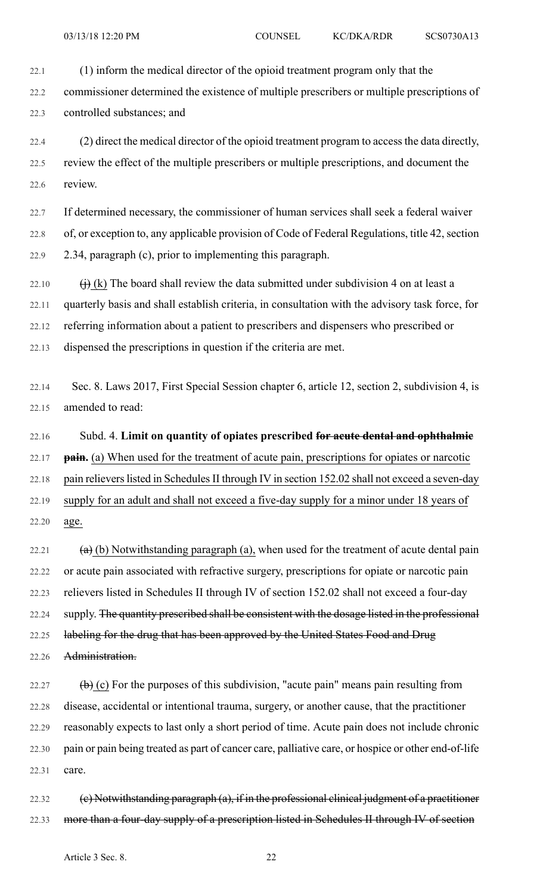22.1 (1) inform the medical director of the opioid treatment program only that the

22.2 commissioner determined the existence of multiple prescribers or multiple prescriptions of 22.3 controlled substances; and

22.4 (2) direct the medical director of the opioid treatment program to access the data directly, 22.5 review the effect of the multiple prescribers or multiple prescriptions, and document the 22.6 review.

22.7 If determined necessary, the commissioner of human services shall seek a federal waiver 22.8 of, or exception to, any applicable provision of Code of Federal Regulations, title 42, section 22.9 2.34, paragraph (c), prior to implementing this paragraph.

22.10  $\qquad (i)$  (k) The board shall review the data submitted under subdivision 4 on at least a 22.11 quarterly basis and shall establish criteria, in consultation with the advisory task force, for 22.12 referring information about a patient to prescribers and dispensers who prescribed or 22.13 dispensed the prescriptions in question if the criteria are met.

22.14 Sec. 8. Laws 2017, First Special Session chapter 6, article 12, section 2, subdivision 4, is 22.15 amended to read:

22.16 Subd. 4. **Limit on quantity of opiates prescribed for acute dental and ophthalmic** 22.17 **pain.** (a) When used for the treatment of acute pain, prescriptions for opiates or narcotic 22.18 pain relievers listed in Schedules II through IV in section 152.02 shall not exceed a seven-day 22.19 supply for an adult and shall not exceed a five-day supply for a minor under 18 years of 22.20 age.

22.21  $\left(\mathbf{a}\right)$  (b) Notwithstanding paragraph (a), when used for the treatment of acute dental pain 22.22 or acute pain associated with refractive surgery, prescriptions for opiate or narcotic pain 22.23 relievers listed in Schedules II through IV of section 152.02 shall not exceed a four-day 22.24 supply. The quantity prescribed shall be consistent with the dosage listed in the professional 22.25 labeling for the drug that has been approved by the United States Food and Drug 22.26 Administration.

22.27  $\qquad \qquad \textbf{(b)} \text{ (c) For the purposes of this subdivision, "acute pain" means pain resulting from}$ 22.28 disease, accidental or intentional trauma, surgery, or another cause, that the practitioner 22.29 reasonably expects to last only a short period of time. Acute pain does not include chronic 22.30 pain or pain being treated as part of cancer care, palliative care, or hospice or other end-of-life 22.31 care.

22.32 (c) Notwithstanding paragraph (a), if in the professional clinical judgment of a practitioner 22.33 more than a four-day supply of a prescription listed in Schedules II through IV of section